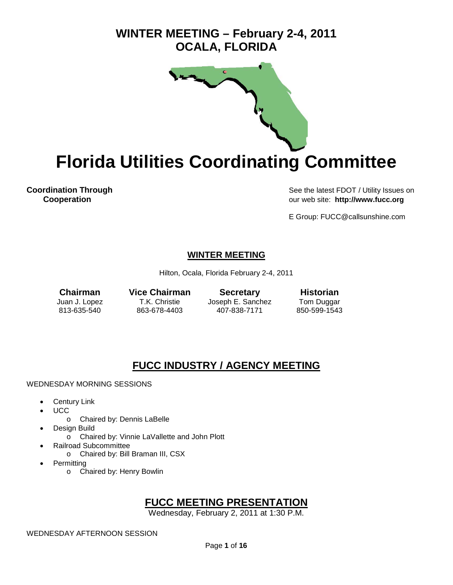## **WINTER MEETING – February 2-4, 2011 OCALA, FLORIDA**



**Florida Utilities Coordinating Committee** 

**Coordination Through See the latest FDOT / Utility Issues on Cooperation**<br> **Cooperation Cooperation** our web site: **http://www.fucc.org**

E Group: FUCC@callsunshine.com

## **WINTER MEETING**

Hilton, Ocala, Florida February 2-4, 2011

**Chairman Vice Chairman Secretary Historian**<br>
Juan J. Lopez T.K. Christie Joseph E. Sanchez Tom Duggar Joseph E. Sanchez 813-635-540 863-678-4403 407-838-7171 850-599-1543

## **FUCC INDUSTRY / AGENCY MEETING**

#### WEDNESDAY MORNING SESSIONS

- **Century Link**
- UCC
	- o Chaired by: Dennis LaBelle
- Design Build
	- o Chaired by: Vinnie LaVallette and John Plott
- Railroad Subcommittee
	- o Chaired by: Bill Braman III, CSX
- **Permitting** 
	- o Chaired by: Henry Bowlin

## **FUCC MEETING PRESENTATION**

Wednesday, February 2, 2011 at 1:30 P.M.

WEDNESDAY AFTERNOON SESSION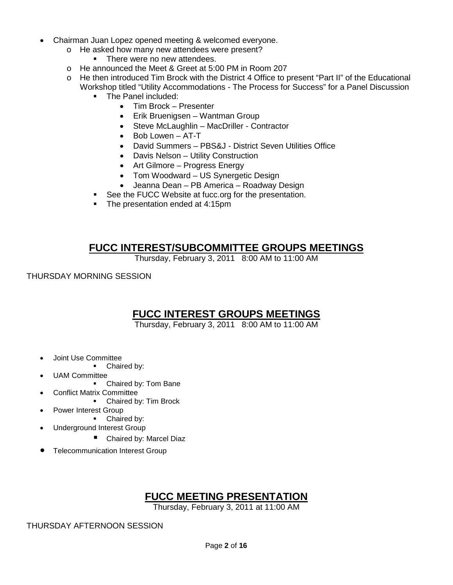- Chairman Juan Lopez opened meeting & welcomed everyone.
	- $\circ$  He asked how many new attendees were present?
		- There were no new attendees.
	- o He announced the Meet & Greet at 5:00 PM in Room 207
	- o He then introduced Tim Brock with the District 4 Office to present "Part II" of the Educational Workshop titled "Utility Accommodations - The Process for Success" for a Panel Discussion
		- **The Panel included:** 
			- Tim Brock Presenter
			- Erik Bruenigsen Wantman Group
			- Steve McLaughlin MacDriller Contractor
			- Bob Lowen AT-T
			- David Summers PBS&J District Seven Utilities Office
			- Davis Nelson Utility Construction
			- Art Gilmore Progress Energy
			- Tom Woodward US Synergetic Design
			- Jeanna Dean PB America Roadway Design
		- **See the FUCC Website at fucc.org for the presentation.**
		- The presentation ended at 4:15pm

## **FUCC INTEREST/SUBCOMMITTEE GROUPS MEETINGS**

Thursday, February 3, 2011 8:00 AM to 11:00 AM

THURSDAY MORNING SESSION

## **FUCC INTEREST GROUPS MEETINGS**

Thursday, February 3, 2011 8:00 AM to 11:00 AM

- Joint Use Committee
	- Chaired by:
- UAM Committee
	- Chaired by: Tom Bane
- Conflict Matrix Committee
	- Chaired by: Tim Brock
	- Power Interest Group
		- Chaired by:
	- Underground Interest Group
		- Chaired by: Marcel Diaz
- Telecommunication Interest Group

## **FUCC MEETING PRESENTATION**

Thursday, February 3, 2011 at 11:00 AM

THURSDAY AFTERNOON SESSION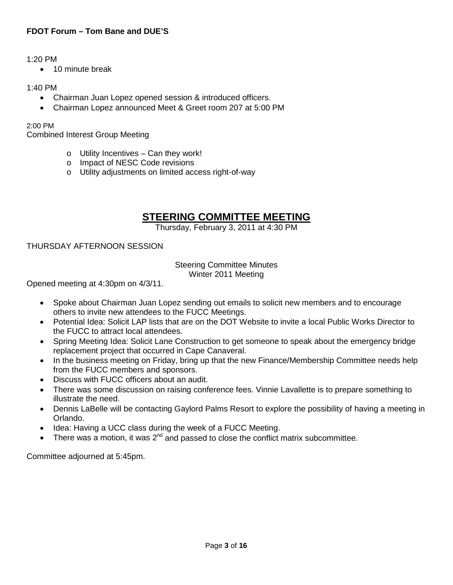### 1:20 PM

• 10 minute break

### 1:40 PM

- Chairman Juan Lopez opened session & introduced officers.
- Chairman Lopez announced Meet & Greet room 207 at 5:00 PM

2:00 PM

Combined Interest Group Meeting

- $\circ$  Utility Incentives Can they work!
- o Impact of NESC Code revisions
- o Utility adjustments on limited access right-of-way

## **STEERING COMMITTEE MEETING**

Thursday, February 3, 2011 at 4:30 PM

## THURSDAY AFTERNOON SESSION

#### Steering Committee Minutes Winter 2011 Meeting

Opened meeting at 4:30pm on 4/3/11.

- Spoke about Chairman Juan Lopez sending out emails to solicit new members and to encourage others to invite new attendees to the FUCC Meetings.
- Potential Idea: Solicit LAP lists that are on the DOT Website to invite a local Public Works Director to the FUCC to attract local attendees.
- Spring Meeting Idea: Solicit Lane Construction to get someone to speak about the emergency bridge replacement project that occurred in Cape Canaveral.
- In the business meeting on Friday, bring up that the new Finance/Membership Committee needs help from the FUCC members and sponsors.
- Discuss with FUCC officers about an audit.
- There was some discussion on raising conference fees. Vinnie Lavallette is to prepare something to illustrate the need.
- Dennis LaBelle will be contacting Gaylord Palms Resort to explore the possibility of having a meeting in Orlando.
- Idea: Having a UCC class during the week of a FUCC Meeting.
- There was a motion, it was  $2^{nd}$  and passed to close the conflict matrix subcommittee.

Committee adjourned at 5:45pm.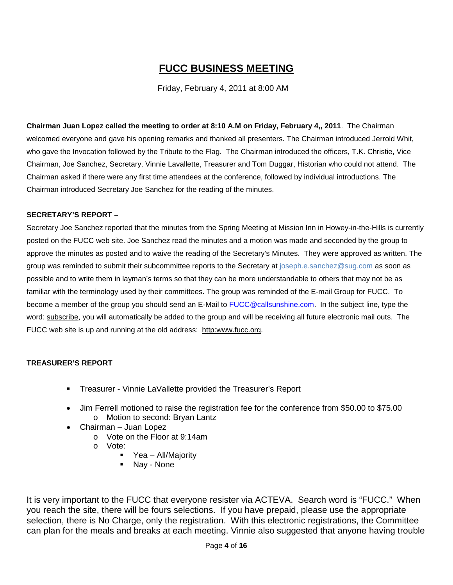## **FUCC BUSINESS MEETING**

Friday, February 4, 2011 at 8:00 AM

**Chairman Juan Lopez called the meeting to order at 8:10 A.M on Friday, February 4,, 2011**. The Chairman welcomed everyone and gave his opening remarks and thanked all presenters. The Chairman introduced Jerrold Whit, who gave the Invocation followed by the Tribute to the Flag. The Chairman introduced the officers, T.K. Christie, Vice Chairman, Joe Sanchez, Secretary, Vinnie Lavallette, Treasurer and Tom Duggar, Historian who could not attend. The Chairman asked if there were any first time attendees at the conference, followed by individual introductions. The Chairman introduced Secretary Joe Sanchez for the reading of the minutes.

#### **SECRETARY'S REPORT –**

Secretary Joe Sanchez reported that the minutes from the Spring Meeting at Mission Inn in Howey-in-the-Hills is currently posted on the FUCC web site. Joe Sanchez read the minutes and a motion was made and seconded by the group to approve the minutes as posted and to waive the reading of the Secretary's Minutes. They were approved as written. The group was reminded to submit their subcommittee reports to the Secretary at [joseph.e.sanchez@sug.com](mailto:joseph.e.sanchez@sug.com) as soon as possible and to write them in layman's terms so that they can be more understandable to others that may not be as familiar with the terminology used by their committees. The group was reminded of the E-mail Group for FUCC. To become a member of the group you should send an E-Mail to **FUCC@callsunshine.com.** In the subject line, type the word: subscribe, you will automatically be added to the group and will be receiving all future electronic mail outs. The FUCC web site is up and running at the old address: http:www.fucc.org.

## **TREASURER'S REPORT**

- **Treasurer Vinnie LaVallette provided the Treasurer's Report**
- Jim Ferrell motioned to raise the registration fee for the conference from \$50.00 to \$75.00 o Motion to second: Bryan Lantz
- Chairman Juan Lopez
	- o Vote on the Floor at 9:14am
	- o Vote:
		- **•** Yea All/Majority
		- Nay None

It is very important to the FUCC that everyone resister via ACTEVA. Search word is "FUCC." When you reach the site, there will be fours selections. If you have prepaid, please use the appropriate selection, there is No Charge, only the registration. With this electronic registrations, the Committee can plan for the meals and breaks at each meeting. Vinnie also suggested that anyone having trouble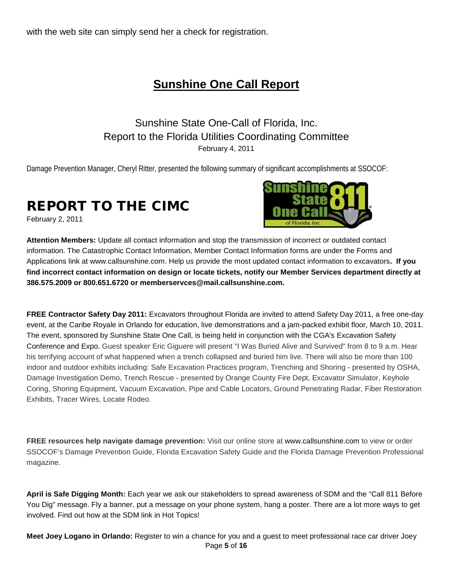with the web site can simply send her a check for registration.

## **Sunshine One Call Report**

## Sunshine State One-Call of Florida, Inc. Report to the Florida Utilities Coordinating Committee February 4, 2011

Damage Prevention Manager, Cheryl Ritter, presented the following summary of significant accomplishments at SSOCOF:

# REPORT TO THE CIMC

February 2, 2011



**Attention Members:** Update all contact information and stop the transmission of incorrect or outdated contact information. The Catastrophic Contact Information, Member Contact Information forms are under the Forms and Applications link at [www.callsunshine.com.](http://www.callsunshine.com/) Help us provide the most updated contact information to excavators**. If you find incorrect contact information on design or locate tickets, notify our Member Services department directly at 386.575.2009 or 800.651.6720 or [memberservces@mail.callsunshine.com.](mailto:memberservces@mail.callsunshine.com)** 

**FREE Contractor Safety Day 2011:** Excavators throughout Florida are invited to attend Safety Day 2011, a free one-day event, at the Caribe Royale in Orlando for education, live demonstrations and a jam-packed exhibit floor, March 10, 2011. The event, sponsored by Sunshine State One Call, is being held in conjunction with the CGA's Excavation Safety Conference and Expo. Guest speaker Eric Giguere will present "I Was Buried Alive and Survived" from 8 to 9 a.m. Hear his terrifying account of what happened when a trench collapsed and buried him live. There will also be more than 100 indoor and outdoor exhibits including: Safe Excavation Practices program, Trenching and Shoring - presented by OSHA, Damage Investigation Demo, Trench Rescue - presented by Orange County Fire Dept, Excavator Simulator, Keyhole Coring, Shoring Equipment, Vacuum Excavation, Pipe and Cable Locators, Ground Penetrating Radar, Fiber Restoration Exhibits, Tracer Wires, Locate Rodeo.

**FREE resources help navigate damage prevention:** Visit our online store at [www.callsunshine.com](http://www.callsunshine.com/) to view or order SSOCOF's Damage Prevention Guide, Florida Excavation Safety Guide and the Florida Damage Prevention Professional magazine.

**April is Safe Digging Month:** Each year we ask our stakeholders to spread awareness of SDM and the "Call 811 Before You Dig" message. Fly a banner, put a message on your phone system, hang a poster. There are a lot more ways to get involved. Find out how at the SDM link in Hot Topics!

Page **5** of **16 Meet Joey Logano in Orlando:** Register to win a chance for you and a guest to meet professional race car driver Joey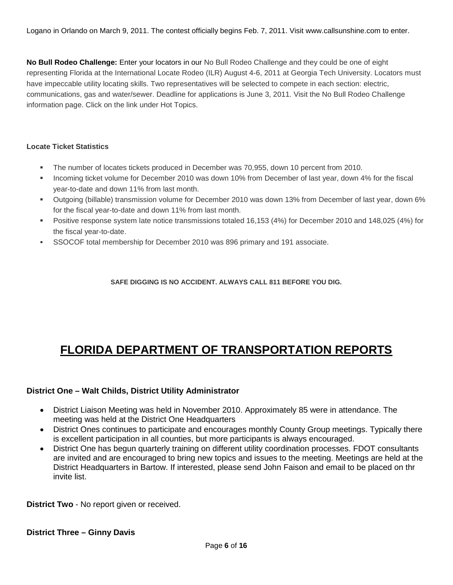Logano in Orlando on March 9, 2011. The contest officially begins Feb. 7, 2011. Visit [www.callsunshine.com](http://www.callsunshine.com/) to enter.

**No Bull Rodeo Challenge:** Enter your locators in our No Bull Rodeo Challenge and they could be one of eight representing Florida at the International Locate Rodeo (ILR) August 4-6, 2011 at Georgia Tech University. Locators must have impeccable utility locating skills. Two representatives will be selected to compete in each section: electric, communications, gas and water/sewer. Deadline for applications is June 3, 2011. Visit the No Bull Rodeo Challenge information page. Click on the link under Hot Topics.

#### **Locate Ticket Statistics**

- The number of locates tickets produced in December was 70,955, down 10 percent from 2010.
- Incoming ticket volume for December 2010 was down 10% from December of last year, down 4% for the fiscal year-to-date and down 11% from last month.
- Outgoing (billable) transmission volume for December 2010 was down 13% from December of last year, down 6% for the fiscal year-to-date and down 11% from last month.
- Positive response system late notice transmissions totaled 16,153 (4%) for December 2010 and 148,025 (4%) for the fiscal year-to-date.
- SSOCOF total membership for December 2010 was 896 primary and 191 associate.

**SAFE DIGGING IS NO ACCIDENT. ALWAYS CALL 811 BEFORE YOU DIG.**

# **FLORIDA DEPARTMENT OF TRANSPORTATION REPORTS**

## **District One – Walt Childs, District Utility Administrator**

- District Liaison Meeting was held in November 2010. Approximately 85 were in attendance. The meeting was held at the District One Headquarters
- District Ones continues to participate and encourages monthly County Group meetings. Typically there is excellent participation in all counties, but more participants is always encouraged.
- District One has begun quarterly training on different utility coordination processes. FDOT consultants are invited and are encouraged to bring new topics and issues to the meeting. Meetings are held at the District Headquarters in Bartow. If interested, please send John Faison and email to be placed on thr invite list.

**District Two** - No report given or received.

**District Three – Ginny Davis**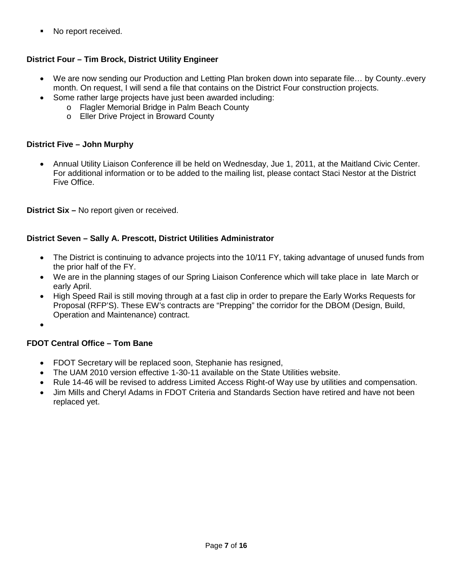• No report received.

## **District Four – Tim Brock, District Utility Engineer**

- We are now sending our Production and Letting Plan broken down into separate file... by County..every month. On request, I will send a file that contains on the District Four construction projects.
- Some rather large projects have just been awarded including:
	- o Flagler Memorial Bridge in Palm Beach County
	- o Eller Drive Project in Broward County

## **District Five – John Murphy**

• Annual Utility Liaison Conference ill be held on Wednesday, Jue 1, 2011, at the Maitland Civic Center. For additional information or to be added to the mailing list, please contact Staci Nestor at the District Five Office.

**District Six –** No report given or received.

## **District Seven – Sally A. Prescott, District Utilities Administrator**

- The District is continuing to advance projects into the 10/11 FY, taking advantage of unused funds from the prior half of the FY.
- We are in the planning stages of our Spring Liaison Conference which will take place in late March or early April.
- High Speed Rail is still moving through at a fast clip in order to prepare the Early Works Requests for Proposal (RFP'S). These EW's contracts are "Prepping" the corridor for the DBOM (Design, Build, Operation and Maintenance) contract.

•

## **FDOT Central Office – Tom Bane**

- FDOT Secretary will be replaced soon, Stephanie has resigned,
- The UAM 2010 version effective 1-30-11 available on the State Utilities website.
- Rule 14-46 will be revised to address Limited Access Right-of Way use by utilities and compensation.
- Jim Mills and Cheryl Adams in FDOT Criteria and Standards Section have retired and have not been replaced yet.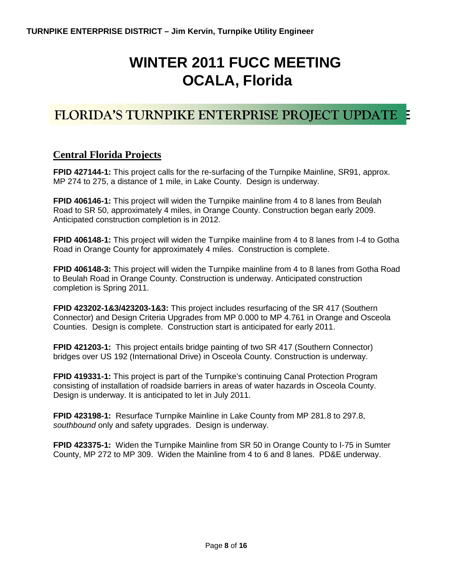# **WINTER 2011 FUCC MEETING OCALA, Florida**

# **FLORIDA'S TURNPIKE ENTERPRISE PROJECT UPDATE**

## **Central Florida Projects**

**FPID 427144-1:** This project calls for the re-surfacing of the Turnpike Mainline, SR91, approx. MP 274 to 275, a distance of 1 mile, in Lake County. Design is underway.

**FPID 406146-1:** This project will widen the Turnpike mainline from 4 to 8 lanes from Beulah Road to SR 50, approximately 4 miles, in Orange County. Construction began early 2009. Anticipated construction completion is in 2012.

**FPID 406148-1:** This project will widen the Turnpike mainline from 4 to 8 lanes from I-4 to Gotha Road in Orange County for approximately 4 miles. Construction is complete.

**FPID 406148-3:** This project will widen the Turnpike mainline from 4 to 8 lanes from Gotha Road to Beulah Road in Orange County. Construction is underway. Anticipated construction completion is Spring 2011.

**FPID 423202-1&3/423203-1&3:** This project includes resurfacing of the SR 417 (Southern Connector) and Design Criteria Upgrades from MP 0.000 to MP 4.761 in Orange and Osceola Counties. Design is complete. Construction start is anticipated for early 2011.

**FPID 421203-1:** This project entails bridge painting of two SR 417 (Southern Connector) bridges over US 192 (International Drive) in Osceola County. Construction is underway.

**FPID 419331-1:** This project is part of the Turnpike's continuing Canal Protection Program consisting of installation of roadside barriers in areas of water hazards in Osceola County. Design is underway. It is anticipated to let in July 2011.

**FPID 423198-1:** Resurface Turnpike Mainline in Lake County from MP 281.8 to 297.8, *southbound* only and safety upgrades. Design is underway.

**FPID 423375-1:** Widen the Turnpike Mainline from SR 50 in Orange County to I-75 in Sumter County, MP 272 to MP 309. Widen the Mainline from 4 to 6 and 8 lanes. PD&E underway.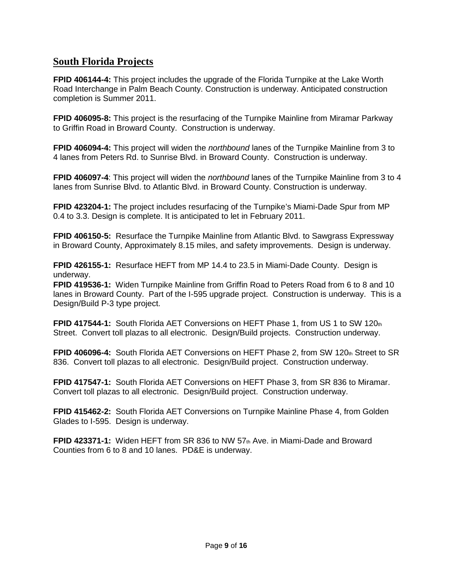## **South Florida Projects**

**FPID 406144-4:** This project includes the upgrade of the Florida Turnpike at the Lake Worth Road Interchange in Palm Beach County. Construction is underway. Anticipated construction completion is Summer 2011.

**FPID 406095-8:** This project is the resurfacing of the Turnpike Mainline from Miramar Parkway to Griffin Road in Broward County. Construction is underway.

**FPID 406094-4:** This project will widen the *northbound* lanes of the Turnpike Mainline from 3 to 4 lanes from Peters Rd. to Sunrise Blvd. in Broward County. Construction is underway.

**FPID 406097-4**: This project will widen the *northbound* lanes of the Turnpike Mainline from 3 to 4 lanes from Sunrise Blvd. to Atlantic Blvd. in Broward County. Construction is underway.

**FPID 423204-1:** The project includes resurfacing of the Turnpike's Miami-Dade Spur from MP 0.4 to 3.3. Design is complete. It is anticipated to let in February 2011.

**FPID 406150-5:** Resurface the Turnpike Mainline from Atlantic Blvd. to Sawgrass Expressway in Broward County, Approximately 8.15 miles, and safety improvements. Design is underway.

**FPID 426155-1:** Resurface HEFT from MP 14.4 to 23.5 in Miami-Dade County. Design is underway.

**FPID 419536-1:** Widen Turnpike Mainline from Griffin Road to Peters Road from 6 to 8 and 10 lanes in Broward County. Part of the I-595 upgrade project. Construction is underway. This is a Design/Build P-3 type project.

**FPID 417544-1:** South Florida AET Conversions on HEFT Phase 1, from US 1 to SW 120th Street. Convert toll plazas to all electronic. Design/Build projects. Construction underway.

**FPID 406096-4:** South Florida AET Conversions on HEFT Phase 2, from SW 120th Street to SR 836. Convert toll plazas to all electronic. Design/Build project. Construction underway.

**FPID 417547-1:** South Florida AET Conversions on HEFT Phase 3, from SR 836 to Miramar. Convert toll plazas to all electronic. Design/Build project. Construction underway.

**FPID 415462-2:** South Florida AET Conversions on Turnpike Mainline Phase 4, from Golden Glades to I-595. Design is underway.

**FPID 423371-1:** Widen HEFT from SR 836 to NW 57<sup>th</sup> Ave. in Miami-Dade and Broward Counties from 6 to 8 and 10 lanes. PD&E is underway.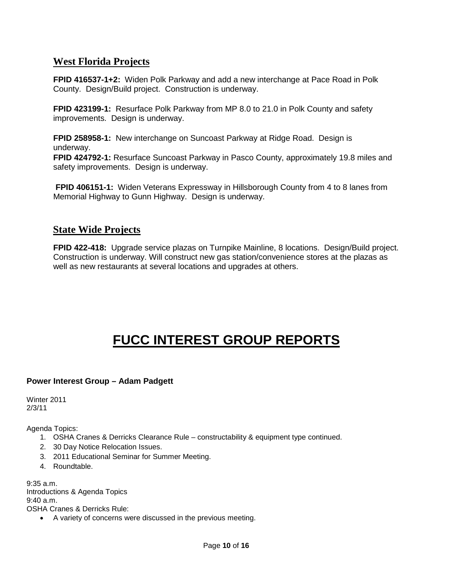## **West Florida Projects**

**FPID 416537-1+2:** Widen Polk Parkway and add a new interchange at Pace Road in Polk County. Design/Build project. Construction is underway.

**FPID 423199-1:** Resurface Polk Parkway from MP 8.0 to 21.0 in Polk County and safety improvements. Design is underway.

**FPID 258958-1:** New interchange on Suncoast Parkway at Ridge Road. Design is underway.

**FPID 424792-1:** Resurface Suncoast Parkway in Pasco County, approximately 19.8 miles and safety improvements. Design is underway.

**FPID 406151-1:** Widen Veterans Expressway in Hillsborough County from 4 to 8 lanes from Memorial Highway to Gunn Highway. Design is underway.

## **State Wide Projects**

**FPID 422-418:** Upgrade service plazas on Turnpike Mainline, 8 locations. Design/Build project. Construction is underway. Will construct new gas station/convenience stores at the plazas as well as new restaurants at several locations and upgrades at others.

# **FUCC INTEREST GROUP REPORTS**

## **Power Interest Group – Adam Padgett**

Winter 2011 2/3/11

Agenda Topics:

- 1. OSHA Cranes & Derricks Clearance Rule constructability & equipment type continued.
- 2. 30 Day Notice Relocation Issues.
- 3. 2011 Educational Seminar for Summer Meeting.
- 4. Roundtable.

9:35 a.m. Introductions & Agenda Topics 9:40 a.m. OSHA Cranes & Derricks Rule:

• A variety of concerns were discussed in the previous meeting.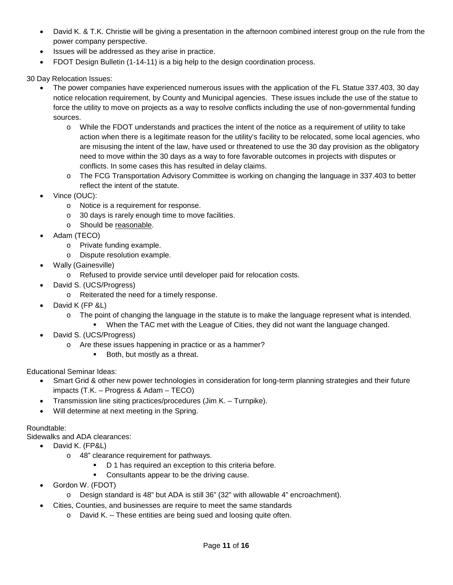- David K. & T.K. Christie will be giving a presentation in the afternoon combined interest group on the rule from the power company perspective.
- Issues will be addressed as they arise in practice.
- FDOT Design Bulletin (1-14-11) is a big help to the design coordination process.

30 Day Relocation Issues:

- The power companies have experienced numerous issues with the application of the FL Statue 337.403, 30 day notice relocation requirement, by County and Municipal agencies. These issues include the use of the statue to force the utility to move on projects as a way to resolve conflicts including the use of non-governmental funding sources.
	- o While the FDOT understands and practices the intent of the notice as a requirement of utility to take action when there is a legitimate reason for the utility's facility to be relocated, some local agencies, who are misusing the intent of the law, have used or threatened to use the 30 day provision as the obligatory need to move within the 30 days as a way to fore favorable outcomes in projects with disputes or conflicts. In some cases this has resulted in delay claims.
	- o The FCG Transportation Advisory Committee is working on changing the language in 337.403 to better reflect the intent of the statute.
- Vince (OUC):
	- o Notice is a requirement for response.
	- o 30 days is rarely enough time to move facilities.
	- o Should be reasonable.
- Adam (TECO)
	- o Private funding example.
	- o Dispute resolution example.
- Wally (Gainesville)
	- o Refused to provide service until developer paid for relocation costs.
- David S. (UCS/Progress)
	- o Reiterated the need for a timely response.
- David K (FP &L)
	- $\circ$  The point of changing the language in the statute is to make the language represent what is intended.
		- When the TAC met with the League of Cities, they did not want the language changed.
- David S. (UCS/Progress)
	- o Are these issues happening in practice or as a hammer?
		- **Both, but mostly as a threat.**

Educational Seminar Ideas:

- Smart Grid & other new power technologies in consideration for long-term planning strategies and their future impacts (T.K. – Progress & Adam – TECO)
- Transmission line siting practices/procedures (Jim K. Turnpike).
- Will determine at next meeting in the Spring.

## Roundtable:

Sidewalks and ADA clearances:

- David K. (FP&L)
	- o 48" clearance requirement for pathways.
		- D 1 has required an exception to this criteria before.
		- Consultants appear to be the driving cause.
- Gordon W. (FDOT)
	- $\circ$  Design standard is 48" but ADA is still 36" (32" with allowable 4" encroachment).
- Cities, Counties, and businesses are require to meet the same standards
	- o David K. These entities are being sued and loosing quite often.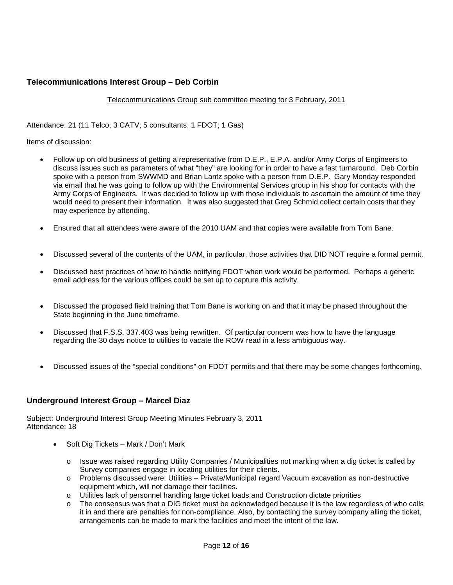## **Telecommunications Interest Group – Deb Corbin**

#### Telecommunications Group sub committee meeting for 3 February, 2011

Attendance: 21 (11 Telco; 3 CATV; 5 consultants; 1 FDOT; 1 Gas)

Items of discussion:

- Follow up on old business of getting a representative from D.E.P., E.P.A. and/or Army Corps of Engineers to discuss issues such as parameters of what "they" are looking for in order to have a fast turnaround. Deb Corbin spoke with a person from SWWMD and Brian Lantz spoke with a person from D.E.P. Gary Monday responded via email that he was going to follow up with the Environmental Services group in his shop for contacts with the Army Corps of Engineers. It was decided to follow up with those individuals to ascertain the amount of time they would need to present their information. It was also suggested that Greg Schmid collect certain costs that they may experience by attending.
- Ensured that all attendees were aware of the 2010 UAM and that copies were available from Tom Bane.
- Discussed several of the contents of the UAM, in particular, those activities that DID NOT require a formal permit.
- Discussed best practices of how to handle notifying FDOT when work would be performed. Perhaps a generic email address for the various offices could be set up to capture this activity.
- Discussed the proposed field training that Tom Bane is working on and that it may be phased throughout the State beginning in the June timeframe.
- Discussed that F.S.S. 337.403 was being rewritten. Of particular concern was how to have the language regarding the 30 days notice to utilities to vacate the ROW read in a less ambiguous way.
- Discussed issues of the "special conditions" on FDOT permits and that there may be some changes forthcoming.

## **Underground Interest Group – Marcel Diaz**

Subject: Underground Interest Group Meeting Minutes February 3, 2011 Attendance: 18

- Soft Dig Tickets Mark / Don't Mark
	- o Issue was raised regarding Utility Companies / Municipalities not marking when a dig ticket is called by Survey companies engage in locating utilities for their clients.
	- o Problems discussed were: Utilities Private/Municipal regard Vacuum excavation as non-destructive equipment which, will not damage their facilities.
	- o Utilities lack of personnel handling large ticket loads and Construction dictate priorities
	- o The consensus was that a DIG ticket must be acknowledged because it is the law regardless of who calls it in and there are penalties for non-compliance. Also, by contacting the survey company alling the ticket, arrangements can be made to mark the facilities and meet the intent of the law.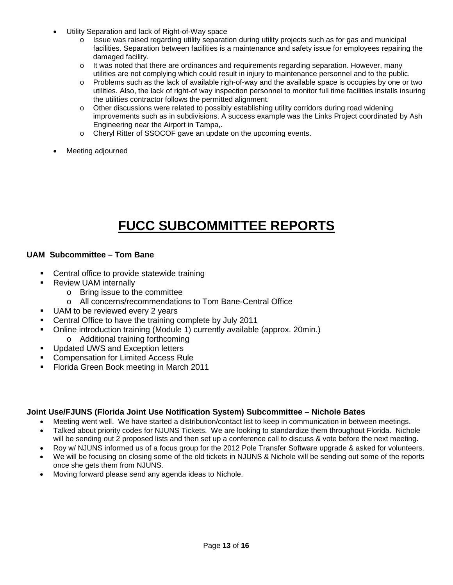- Utility Separation and lack of Right-of-Way space
	- o Issue was raised regarding utility separation during utility projects such as for gas and municipal facilities. Separation between facilities is a maintenance and safety issue for employees repairing the damaged facility.
	- o It was noted that there are ordinances and requirements regarding separation. However, many utilities are not complying which could result in injury to maintenance personnel and to the public.
	- o Problems such as the lack of available righ-of-way and the available space is occupies by one or two utilities. Also, the lack of right-of way inspection personnel to monitor full time facilities installs insuring the utilities contractor follows the permitted alignment.
	- o Other discussions were related to possibly establishing utility corridors during road widening improvements such as in subdivisions. A success example was the Links Project coordinated by Ash Engineering near the Airport in Tampa,.
	- o Cheryl Ritter of SSOCOF gave an update on the upcoming events.
- Meeting adjourned

# **FUCC SUBCOMMITTEE REPORTS**

## **UAM Subcommittee – Tom Bane**

- Central office to provide statewide training
- Review UAM internally
	- o Bring issue to the committee
	- o All concerns/recommendations to Tom Bane-Central Office
- UAM to be reviewed every 2 years
- Central Office to have the training complete by July 2011
- Online introduction training (Module 1) currently available (approx. 20min.) o Additional training forthcoming
- **Updated UWS and Exception letters**
- Compensation for Limited Access Rule
- Florida Green Book meeting in March 2011

## **Joint Use/FJUNS (Florida Joint Use Notification System) Subcommittee – Nichole Bates**

- Meeting went well. We have started a distribution/contact list to keep in communication in between meetings.
- Talked about priority codes for NJUNS Tickets. We are looking to standardize them throughout Florida. Nichole will be sending out 2 proposed lists and then set up a conference call to discuss & vote before the next meeting.
- Roy w/ NJUNS informed us of a focus group for the 2012 Pole Transfer Software upgrade & asked for volunteers.
- We will be focusing on closing some of the old tickets in NJUNS & Nichole will be sending out some of the reports once she gets them from NJUNS.
- Moving forward please send any agenda ideas to Nichole.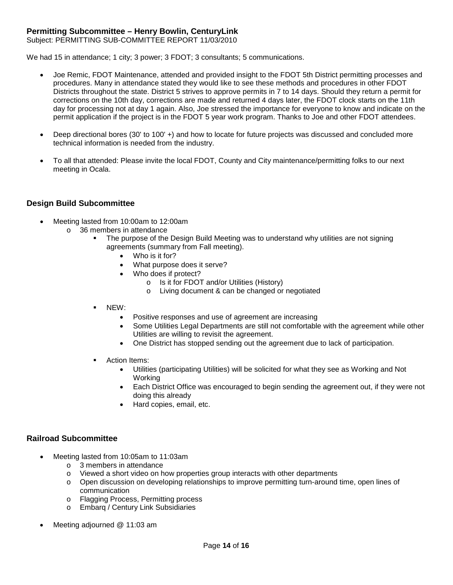## **Permitting Subcommittee – Henry Bowlin, CenturyLink**

Subject: PERMITTING SUB-COMMITTEE REPORT 11/03/2010

We had 15 in attendance; 1 city; 3 power; 3 FDOT; 3 consultants; 5 communications.

- Joe Remic, FDOT Maintenance, attended and provided insight to the FDOT 5th District permitting processes and procedures. Many in attendance stated they would like to see these methods and procedures in other FDOT Districts throughout the state. District 5 strives to approve permits in 7 to 14 days. Should they return a permit for corrections on the 10th day, corrections are made and returned 4 days later, the FDOT clock starts on the 11th day for processing not at day 1 again. Also, Joe stressed the importance for everyone to know and indicate on the permit application if the project is in the FDOT 5 year work program. Thanks to Joe and other FDOT attendees.
- Deep directional bores (30' to 100' +) and how to locate for future projects was discussed and concluded more technical information is needed from the industry.
- To all that attended: Please invite the local FDOT, County and City maintenance/permitting folks to our next meeting in Ocala.

#### **Design Build Subcommittee**

- Meeting lasted from 10:00am to 12:00am
	- o 36 members in attendance
		- The purpose of the Design Build Meeting was to understand why utilities are not signing agreements (summary from Fall meeting).
			- Who is it for?
			- What purpose does it serve?
			- Who does if protect?
				- o Is it for FDOT and/or Utilities (History)
				- o Living document & can be changed or negotiated
			- NEW:
				- Positive responses and use of agreement are increasing
				- Some Utilities Legal Departments are still not comfortable with the agreement while other Utilities are willing to revisit the agreement.
				- One District has stopped sending out the agreement due to lack of participation.
			- Action Items:
				- Utilities (participating Utilities) will be solicited for what they see as Working and Not Working
				- Each District Office was encouraged to begin sending the agreement out, if they were not doing this already
				- Hard copies, email, etc.

### **Railroad Subcommittee**

- Meeting lasted from 10:05am to 11:03am
	- o 3 members in attendance
	- o Viewed a short video on how properties group interacts with other departments
	- o Open discussion on developing relationships to improve permitting turn-around time, open lines of communication
	- o Flagging Process, Permitting process
	- o Embarq / Century Link Subsidiaries
- Meeting adjourned @ 11:03 am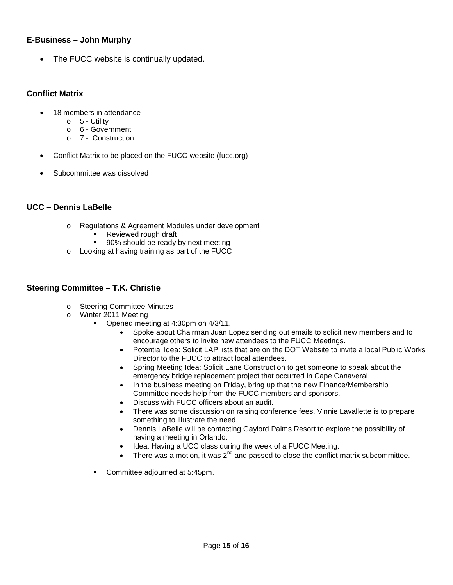### **E-Business – John Murphy**

• The FUCC website is continually updated.

## **Conflict Matrix**

- 18 members in attendance
	- o 5 Utility
	- o 6 Government
	- o 7 Construction
- Conflict Matrix to be placed on the FUCC website (fucc.org)
- Subcommittee was dissolved

## **UCC – Dennis LaBelle**

- o Regulations & Agreement Modules under development
	- Reviewed rough draft<br>90% should be ready
	- 90% should be ready by next meeting
- o Looking at having training as part of the FUCC

### **Steering Committee – T.K. Christie**

- o Steering Committee Minutes
- o Winter 2011 Meeting
	- Opened meeting at 4:30pm on 4/3/11.
		- Spoke about Chairman Juan Lopez sending out emails to solicit new members and to encourage others to invite new attendees to the FUCC Meetings.
		- Potential Idea: Solicit LAP lists that are on the DOT Website to invite a local Public Works Director to the FUCC to attract local attendees.
		- Spring Meeting Idea: Solicit Lane Construction to get someone to speak about the emergency bridge replacement project that occurred in Cape Canaveral.
		- In the business meeting on Friday, bring up that the new Finance/Membership Committee needs help from the FUCC members and sponsors.
		- Discuss with FUCC officers about an audit.
		- There was some discussion on raising conference fees. Vinnie Lavallette is to prepare something to illustrate the need.
		- Dennis LaBelle will be contacting Gaylord Palms Resort to explore the possibility of having a meeting in Orlando.
		- Idea: Having a UCC class during the week of a FUCC Meeting.
		- There was a motion, it was  $2^{nd}$  and passed to close the conflict matrix subcommittee.
	- **Committee adjourned at 5:45pm.**